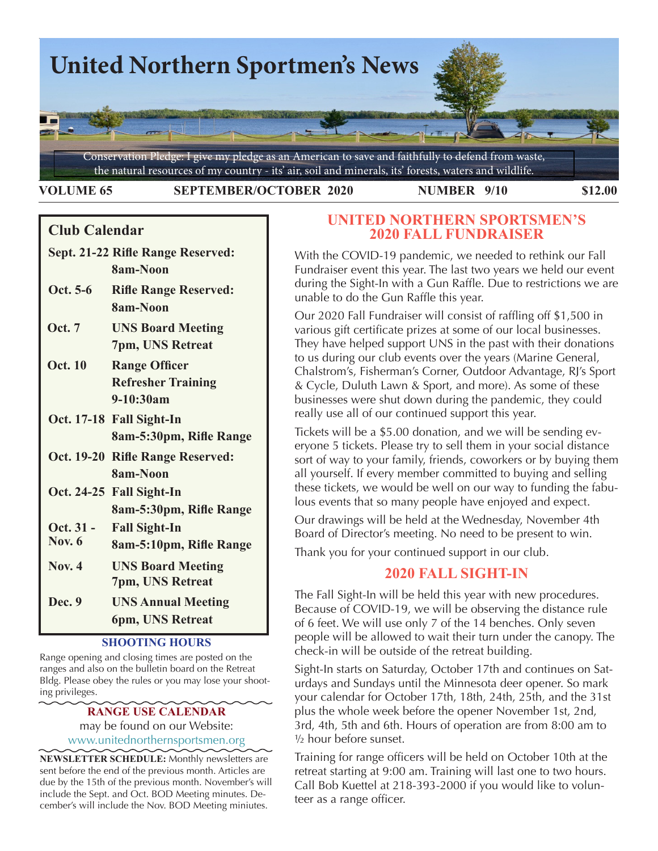

**VOLUME 65 SEPTEMBER/OCTOBER 2020 NUMBER 9/10 \$12.00** 

# **Club Calendar**

- **Sept. 21-22 Rifle Range Reserved: 8am-Noon**
- **Oct. 5-6 Rifle Range Reserved: 8am-Noon**
- **Oct. 7 UNS Board Meeting 7pm, UNS Retreat**
- **Oct. 10 Range Officer Refresher Training 9-10:30am**
- **Oct. 17-18 Fall Sight-In 8am-5:30pm, Rifle Range**
- **Oct. 19-20 Rifle Range Reserved: 8am-Noon**
- **Oct. 24-25 Fall Sight-In 8am-5:30pm, Rifle Range**
- **Oct. 31 - Fall Sight-In**
- **Nov. 6 8am-5:10pm, Rifle Range**
- **Nov. 4 UNS Board Meeting 7pm, UNS Retreat**
- **Dec. 9 UNS Annual Meeting 6pm, UNS Retreat**

## **SHOOTING HOURS**

Range opening and closing times are posted on the ranges and also on the bulletin board on the Retreat Bldg. Please obey the rules or you may lose your shooting privileges.

## **RANGE USE CALENDAR** may be found on our Website: [www.unitednorthernsportsmen.org](http://www.unitednorthernsportsmen.org)

**NEWSLETTER SCHEDULE:** Monthly newsletters are sent before the end of the previous month. Articles are due by the 15th of the previous month. November's will include the Sept. and Oct. BOD Meeting minutes. December's will include the Nov. BOD Meeting miniutes.

# **UNITED NORTHERN SPORTSMEN'S 2020 FALL FUNDRAISER**

With the COVID-19 pandemic, we needed to rethink our Fall Fundraiser event this year. The last two years we held our event during the Sight-In with a Gun Raffle. Due to restrictions we are unable to do the Gun Raffle this year.

Our 2020 Fall Fundraiser will consist of raffling off \$1,500 in various gift certificate prizes at some of our local businesses. They have helped support UNS in the past with their donations to us during our club events over the years (Marine General, Chalstrom's, Fisherman's Corner, Outdoor Advantage, RJ's Sport & Cycle, Duluth Lawn & Sport, and more). As some of these businesses were shut down during the pandemic, they could really use all of our continued support this year.

Tickets will be a \$5.00 donation, and we will be sending everyone 5 tickets. Please try to sell them in your social distance sort of way to your family, friends, coworkers or by buying them all yourself. If every member committed to buying and selling these tickets, we would be well on our way to funding the fabulous events that so many people have enjoyed and expect.

Our drawings will be held at the Wednesday, November 4th Board of Director's meeting. No need to be present to win.

Thank you for your continued support in our club.

# **2020 FALL SIGHT-IN**

The Fall Sight-In will be held this year with new procedures. Because of COVID-19, we will be observing the distance rule of 6 feet. We will use only 7 of the 14 benches. Only seven people will be allowed to wait their turn under the canopy. The check-in will be outside of the retreat building.

Sight-In starts on Saturday, October 17th and continues on Saturdays and Sundays until the Minnesota deer opener. So mark your calendar for October 17th, 18th, 24th, 25th, and the 31st plus the whole week before the opener November 1st, 2nd, 3rd, 4th, 5th and 6th. Hours of operation are from 8:00 am to ½ hour before sunset.

Training for range officers will be held on October 10th at the retreat starting at 9:00 am. Training will last one to two hours. Call Bob Kuettel at 218-393-2000 if you would like to volunteer as a range officer.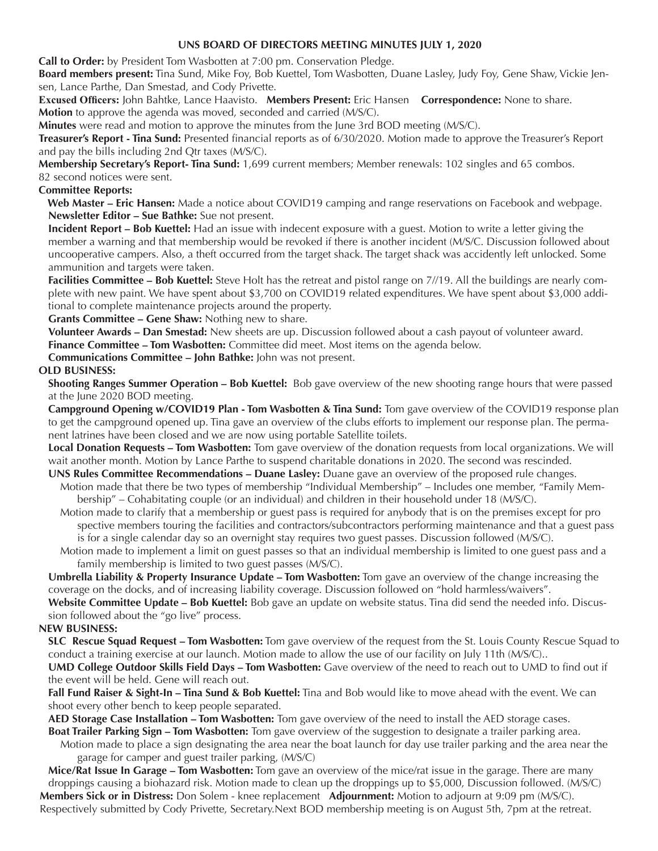### **UNS BOARD OF DIRECTORS MEETING MINUTES JULY 1, 2020**

**Call to Order:** by President Tom Wasbotten at 7:00 pm. Conservation Pledge.

**Board members present:** Tina Sund, Mike Foy, Bob Kuettel, Tom Wasbotten, Duane Lasley, Judy Foy, Gene Shaw, Vickie Jensen, Lance Parthe, Dan Smestad, and Cody Privette.

**Excused Officers:** John Bahtke, Lance Haavisto. **Members Present:** Eric Hansen **Correspondence:** None to share. **Motion** to approve the agenda was moved, seconded and carried (M/S/C).

**Minutes** were read and motion to approve the minutes from the June 3rd BOD meeting (M/S/C).

**Treasurer's Report - Tina Sund:** Presented financial reports as of 6/30/2020. Motion made to approve the Treasurer's Report and pay the bills including 2nd Qtr taxes (M/S/C).

**Membership Secretary's Report- Tina Sund:** 1,699 current members; Member renewals: 102 singles and 65 combos. 82 second notices were sent.

## **Committee Reports:**

 **Web Master – Eric Hansen:** Made a notice about COVID19 camping and range reservations on Facebook and webpage. **Newsletter Editor – Sue Bathke:** Sue not present.

**Incident Report – Bob Kuettel:** Had an issue with indecent exposure with a guest. Motion to write a letter giving the member a warning and that membership would be revoked if there is another incident (M/S/C. Discussion followed about uncooperative campers. Also, a theft occurred from the target shack. The target shack was accidently left unlocked. Some ammunition and targets were taken.

**Facilities Committee – Bob Kuettel:** Steve Holt has the retreat and pistol range on 7//19. All the buildings are nearly complete with new paint. We have spent about \$3,700 on COVID19 related expenditures. We have spent about \$3,000 additional to complete maintenance projects around the property.

**Grants Committee – Gene Shaw:** Nothing new to share.

**Volunteer Awards – Dan Smestad:** New sheets are up. Discussion followed about a cash payout of volunteer award. **Finance Committee – Tom Wasbotten:** Committee did meet. Most items on the agenda below.

**Communications Committee – John Bathke:** John was not present.

## **OLD BUSINESS:**

**Shooting Ranges Summer Operation – Bob Kuettel:** Bob gave overview of the new shooting range hours that were passed at the June 2020 BOD meeting.

**Campground Opening w/COVID19 Plan - Tom Wasbotten & Tina Sund:** Tom gave overview of the COVID19 response plan to get the campground opened up. Tina gave an overview of the clubs efforts to implement our response plan. The permanent latrines have been closed and we are now using portable Satellite toilets.

**Local Donation Requests – Tom Wasbotten:** Tom gave overview of the donation requests from local organizations. We will wait another month. Motion by Lance Parthe to suspend charitable donations in 2020. The second was rescinded.

- **UNS Rules Committee Recommendations Duane Lasley:** Duane gave an overview of the proposed rule changes.
	- Motion made that there be two types of membership "Individual Membership" Includes one member, "Family Membership" – Cohabitating couple (or an individual) and children in their household under 18 (M/S/C).
	- Motion made to clarify that a membership or guest pass is required for anybody that is on the premises except for pro spective members touring the facilities and contractors/subcontractors performing maintenance and that a guest pass is for a single calendar day so an overnight stay requires two guest passes. Discussion followed (M/S/C).
	- Motion made to implement a limit on guest passes so that an individual membership is limited to one guest pass and a family membership is limited to two guest passes (M/S/C).

**Umbrella Liability & Property Insurance Update – Tom Wasbotten:** Tom gave an overview of the change increasing the coverage on the docks, and of increasing liability coverage. Discussion followed on "hold harmless/waivers".

**Website Committee Update – Bob Kuettel:** Bob gave an update on website status. Tina did send the needed info. Discussion followed about the "go live" process.

#### **NEW BUSINESS:**

**SLC Rescue Squad Request – Tom Wasbotten:** Tom gave overview of the request from the St. Louis County Rescue Squad to conduct a training exercise at our launch. Motion made to allow the use of our facility on July 11th (M/S/C)..

**UMD College Outdoor Skills Field Days – Tom Wasbotten:** Gave overview of the need to reach out to UMD to find out if the event will be held. Gene will reach out.

**Fall Fund Raiser & Sight-In – Tina Sund & Bob Kuettel:** Tina and Bob would like to move ahead with the event. We can shoot every other bench to keep people separated.

**AED Storage Case Installation – Tom Wasbotten:** Tom gave overview of the need to install the AED storage cases.

**Boat Trailer Parking Sign – Tom Wasbotten:** Tom gave overview of the suggestion to designate a trailer parking area.

 Motion made to place a sign designating the area near the boat launch for day use trailer parking and the area near the garage for camper and guest trailer parking, (M/S/C)

**Mice/Rat Issue In Garage – Tom Wasbotten:** Tom gave an overview of the mice/rat issue in the garage. There are many droppings causing a biohazard risk. Motion made to clean up the droppings up to \$5,000, Discussion followed. (M/S/C)

**Members Sick or in Distress:** Don Solem - knee replacement **Adjournment:** Motion to adjourn at 9:09 pm (M/S/C). Respectively submitted by Cody Privette, Secretary.Next BOD membership meeting is on August 5th, 7pm at the retreat.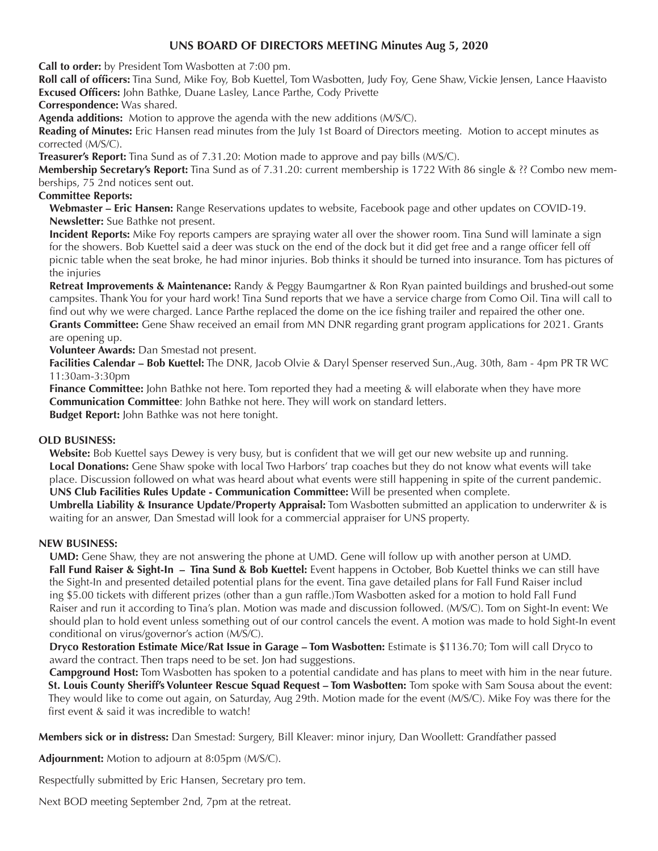## **UNS BOARD OF DIRECTORS MEETING Minutes Aug 5, 2020**

**Call to order:** by President Tom Wasbotten at 7:00 pm.

 **Roll call of officers:** Tina Sund, Mike Foy, Bob Kuettel, Tom Wasbotten, Judy Foy, Gene Shaw, Vickie Jensen, Lance Haavisto **Excused Officers:** John Bathke, Duane Lasley, Lance Parthe, Cody Privette

**Correspondence:** Was shared.

**Agenda additions:** Motion to approve the agenda with the new additions (M/S/C).

**Reading of Minutes:** Eric Hansen read minutes from the July 1st Board of Directors meeting. Motion to accept minutes as corrected (M/S/C).

**Treasurer's Report:** Tina Sund as of 7.31.20: Motion made to approve and pay bills (M/S/C).

**Membership Secretary's Report:** Tina Sund as of 7.31.20: current membership is 1722 With 86 single & ?? Combo new memberships, 75 2nd notices sent out.

## **Committee Reports:**

**Webmaster – Eric Hansen:** Range Reservations updates to website, Facebook page and other updates on COVID-19. **Newsletter:** Sue Bathke not present.

**Incident Reports:** Mike Foy reports campers are spraying water all over the shower room. Tina Sund will laminate a sign for the showers. Bob Kuettel said a deer was stuck on the end of the dock but it did get free and a range officer fell off picnic table when the seat broke, he had minor injuries. Bob thinks it should be turned into insurance. Tom has pictures of the injuries

**Retreat Improvements & Maintenance:** Randy & Peggy Baumgartner & Ron Ryan painted buildings and brushed-out some campsites. Thank You for your hard work! Tina Sund reports that we have a service charge from Como Oil. Tina will call to find out why we were charged. Lance Parthe replaced the dome on the ice fishing trailer and repaired the other one.

**Grants Committee:** Gene Shaw received an email from MN DNR regarding grant program applications for 2021. Grants are opening up.

**Volunteer Awards:** Dan Smestad not present.

**Facilities Calendar – Bob Kuettel:** The DNR, Jacob Olvie & Daryl Spenser reserved Sun.,Aug. 30th, 8am - 4pm PR TR WC 11:30am-3:30pm

**Finance Committee:** John Bathke not here. Tom reported they had a meeting & will elaborate when they have more **Communication Committee**: John Bathke not here. They will work on standard letters.

**Budget Report:** John Bathke was not here tonight.

#### **OLD BUSINESS:**

**Website:** Bob Kuettel says Dewey is very busy, but is confident that we will get our new website up and running. **Local Donations:** Gene Shaw spoke with local Two Harbors' trap coaches but they do not know what events will take place. Discussion followed on what was heard about what events were still happening in spite of the current pandemic. **UNS Club Facilities Rules Update - Communication Committee:** Will be presented when complete.

**Umbrella Liability & Insurance Update/Property Appraisal:** Tom Wasbotten submitted an application to underwriter & is waiting for an answer, Dan Smestad will look for a commercial appraiser for UNS property.

#### **NEW BUSINESS:**

**UMD:** Gene Shaw, they are not answering the phone at UMD. Gene will follow up with another person at UMD. **Fall Fund Raiser & Sight-In – Tina Sund & Bob Kuettel:** Event happens in October, Bob Kuettel thinks we can still have the Sight-In and presented detailed potential plans for the event. Tina gave detailed plans for Fall Fund Raiser includ ing \$5.00 tickets with different prizes (other than a gun raffle.)Tom Wasbotten asked for a motion to hold Fall Fund Raiser and run it according to Tina's plan. Motion was made and discussion followed. (M/S/C). Tom on Sight-In event: We should plan to hold event unless something out of our control cancels the event. A motion was made to hold Sight-In event conditional on virus/governor's action (M/S/C).

**Dryco Restoration Estimate Mice/Rat Issue in Garage – Tom Wasbotten:** Estimate is \$1136.70; Tom will call Dryco to award the contract. Then traps need to be set. Jon had suggestions.

**Campground Host:** Tom Wasbotten has spoken to a potential candidate and has plans to meet with him in the near future. **St. Louis County Sheriff's Volunteer Rescue Squad Request – Tom Wasbotten:** Tom spoke with Sam Sousa about the event: They would like to come out again, on Saturday, Aug 29th. Motion made for the event (M/S/C). Mike Foy was there for the first event & said it was incredible to watch!

**Members sick or in distress:** Dan Smestad: Surgery, Bill Kleaver: minor injury, Dan Woollett: Grandfather passed

**Adjournment:** Motion to adjourn at 8:05pm (M/S/C).

Respectfully submitted by Eric Hansen, Secretary pro tem.

Next BOD meeting September 2nd, 7pm at the retreat.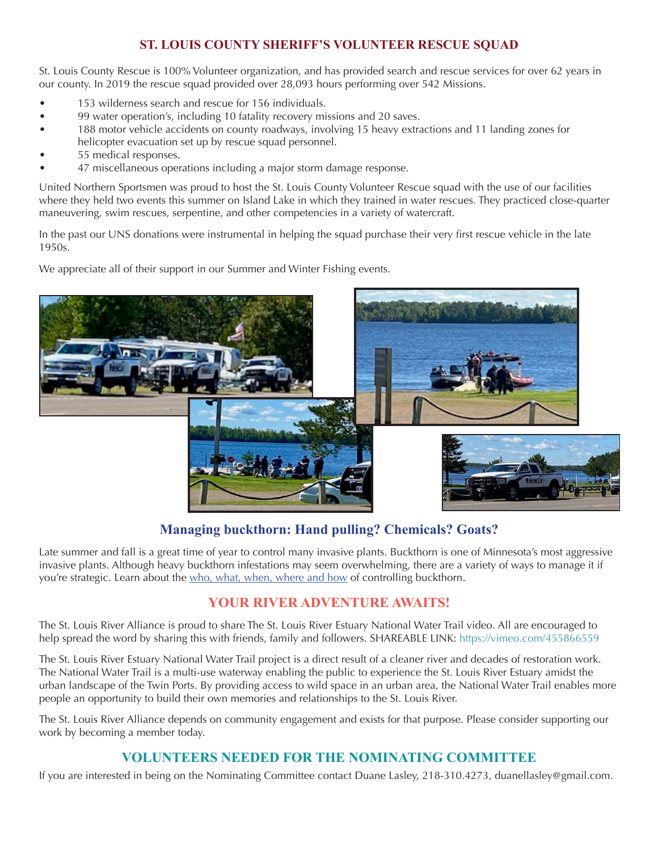# **ST. LOUIS COUNTY SHERIFF'S VOLUNTEER RESCUE SQUAD**

St. Louis County Rescue is 100% Volunteer organization, and has provided search and rescue services for over 62 years in our county. In 2019 the rescue squad provided over 28,093 hours performing over 542 Missions.

- 153 wilderness search and rescue for 156 individuals.
- 99 water operation's, including 10 fatality recovery missions and 20 saves.
- 188 motor vehicle accidents on county roadways, involving 15 heavy extractions and 11 landing zones for helicopter evacuation set up by rescue squad personnel.
- 55 medical responses.
- 47 miscellaneous operations including a major storm damage response.

United Northern Sportsmen was proud to host the St. Louis County Volunteer Rescue squad with the use of our facilities where they held two events this summer on Island Lake in which they trained in water rescues. They practiced close-quarter maneuvering, swim rescues, serpentine, and other competencies in a variety of watercraft.

In the past our UNS donations were instrumental in helping the squad purchase their very first rescue vehicle in the late 1950s.

We appreciate all of their support in our Summer and Winter Fishing events.



# **Managing buckthorn: Hand pulling? Chemicals? Goats?**

Late summer and fall is a great time of year to control many invasive plants. Buckthorn is one of Minnesota's most aggressive invasive plants. Although heavy buckthorn infestations may seem overwhelming, there are a variety of ways to manage it if you're strategic. Learn about the [who, what, when, where and how](https://blog-crop-news.extension.umn.edu/2020/07/controlling-buckthorn-who-what-where.html) of controlling buckthorn.

# **YOUR RIVER ADVENTURE AWAITS!**

The St. Louis River Alliance is proud to share The St. Louis River Estuary National Water Trail video. All are encouraged to help spread the word by sharing this with friends, family and followers. SHAREABLE LINK: https://vimeo.com/455866559

The St. Louis River Estuary National Water Trail project is a direct result of a cleaner river and decades of restoration work. The National Water Trail is a multi-use waterway enabling the public to experience the St. Louis River Estuary amidst the urban landscape of the Twin Ports. By providing access to wild space in an urban area, the National Water Trail enables more people an opportunity to build their own memories and relationships to the St. Louis River.

The St. Louis River Alliance depends on community engagement and exists for that purpose. Please consider supporting our work by becoming a member today.

# **VOLUNTEERS NEEDED FOR THE NOMINATING COMMITTEE**

If you are interested in being on the Nominating Committee contact Duane Lasley, 218-310.4273, duanellasley@gmail.com.